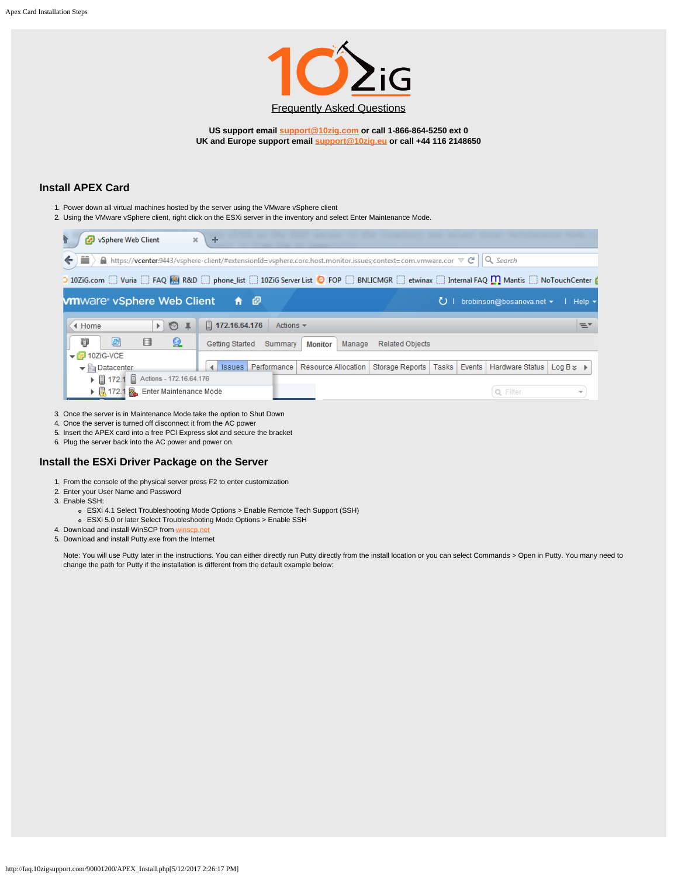

**US support email [support@10zig.com](mailto:support@10zig.com) or call 1-866-864-5250 ext 0 UK and Europe support email [support@10zig.eu](mailto:support@10zig.eu) or call +44 116 2148650**

## **Install APEX Card**

- 1. Power down all virtual machines hosted by the server using the VMware vSphere client
- 2. Using the VMware vSphere client, right click on the ESXi server in the inventory and select Enter Maintenance Mode.



3. Once the server is in Maintenance Mode take the option to Shut Down

- 4. Once the server is turned off disconnect it from the AC power
- 5. Insert the APEX card into a free PCI Express slot and secure the bracket
- 6. Plug the server back into the AC power and power on.

## **Install the ESXi Driver Package on the Server**

- 1. From the console of the physical server press F2 to enter customization
- 2. Enter your User Name and Password
- 3. Enable SSH:
	- ESXi 4.1 Select Troubleshooting Mode Options > Enable Remote Tech Support (SSH)
	- ESXi 5.0 or later Select Troubleshooting Mode Options > Enable SSH
- 4. Download and install WinSCP from [winscp.net](http://winscp.net/eng/download.php)
- 5. Download and install Putty.exe from the Internet

Note: You will use Putty later in the instructions. You can either directly run Putty directly from the install location or you can select Commands > Open in Putty. You many need to change the path for Putty if the installation is different from the default example below: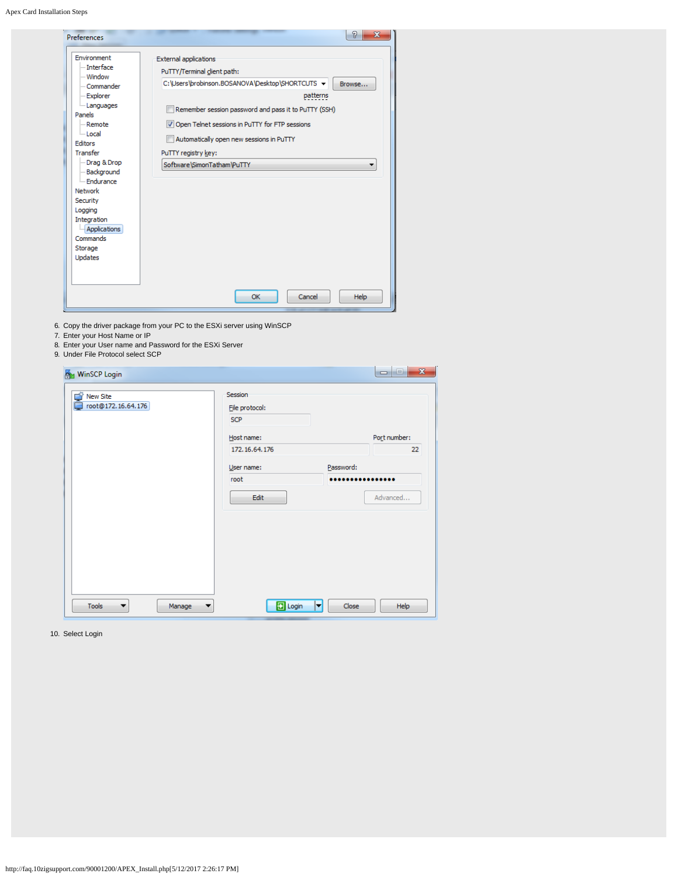Apex Card Installation Steps

| <b>Preferences</b>                                                                                                                                                                                                                                                   |                                                                                                                                                                                                                                                                                                                                                      |
|----------------------------------------------------------------------------------------------------------------------------------------------------------------------------------------------------------------------------------------------------------------------|------------------------------------------------------------------------------------------------------------------------------------------------------------------------------------------------------------------------------------------------------------------------------------------------------------------------------------------------------|
| Environment<br>Interface<br>- Window<br>- Commander<br>- Explorer<br><b>Languages</b><br>Panels<br><b>Remote</b><br>i Local<br>Editors<br>Transfer<br>Drag & Drop<br>Background<br><b>Endurance</b><br>Network<br>Security<br>Logging<br>Integration<br>Applications | <b>External applications</b><br>PuTTY/Terminal client path:<br>C:\Users\brobinson.BOSANOVA\Desktop\SHORTCUTS +<br>Browse<br>patterns<br>Remember session password and pass it to PuTTY (SSH)<br>Open Telnet sessions in PuTTY for FTP sessions<br>Automatically open new sessions in PuTTY<br>PuTTY registry key:<br>Software\SimonTatham\PuTTY<br>▼ |
| Commands<br>Storage                                                                                                                                                                                                                                                  |                                                                                                                                                                                                                                                                                                                                                      |
| Updates                                                                                                                                                                                                                                                              | OK<br>Cancel<br>Help                                                                                                                                                                                                                                                                                                                                 |

- 6. Copy the driver package from your PC to the ESXi server using WinSCP
- 7. Enter your Host Name or IP
- 8. Enter your User name and Password for the ESXi Server
- 9. Under File Protocol select SCP

| New Site<br>C)     | Session        |              |
|--------------------|----------------|--------------|
| root@172.16.64.176 | File protocol: |              |
|                    | <b>SCP</b>     |              |
|                    | Host name:     | Port number: |
|                    | 172.16.64.176  | 22           |
|                    | User name:     | Password:    |
|                    | root           | .            |
|                    | Edit           | Advanced     |
|                    |                |              |
|                    |                |              |
|                    |                |              |
|                    |                |              |
|                    |                |              |
|                    |                |              |

10. Select Login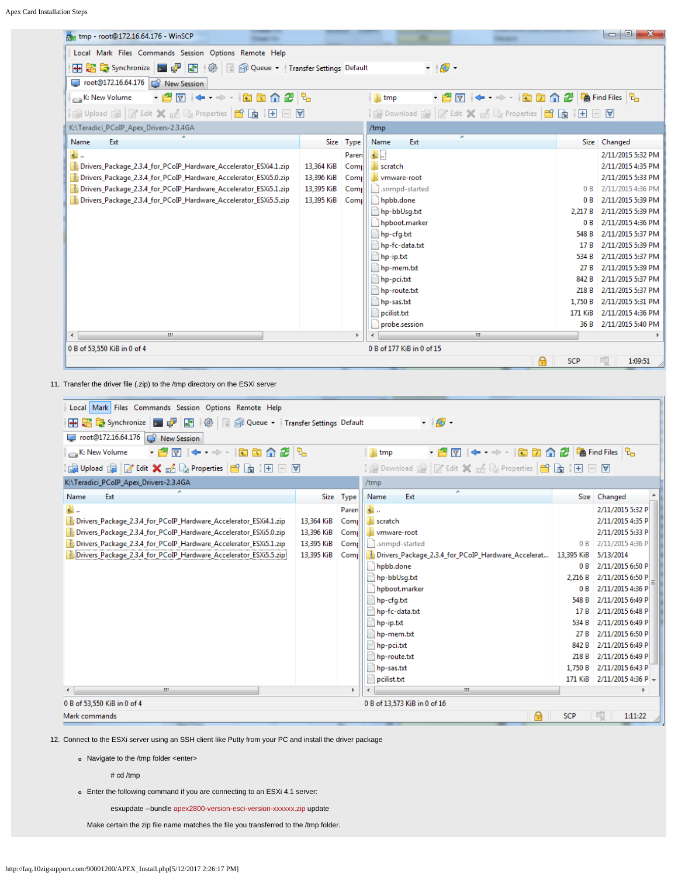Apex Card Installation Steps

| $\begin{array}{c c c c c} \hline \multicolumn{3}{c }{\mathbf{C}} & \multicolumn{3}{c }{\mathbf{C}} \end{array}$<br>$\mathbf{x}$<br>my tmp - root@172.16.64.176 - WinSCP |            |           |                                                  |            |                   |
|-------------------------------------------------------------------------------------------------------------------------------------------------------------------------|------------|-----------|--------------------------------------------------|------------|-------------------|
| Local Mark Files Commands Session Options Remote Help                                                                                                                   |            |           |                                                  |            |                   |
| <b>田串尾Synchronize 国子图像</b><br>Queue v Transfer Settings Default<br>$\cdot$ $\circ$                                                                                      |            |           |                                                  |            |                   |
| root@172.16.64.176<br>New Session                                                                                                                                       |            |           |                                                  |            |                   |
| ·@7 ← → · □□△2 %<br>K: New Volume                                                                                                                                       |            |           | $\blacksquare$ Imp                               |            |                   |
| i Gill Upload Gill   27 Edit ※ H Gill Properties   曾 Gill Ell 日 回                                                                                                       |            |           | 2 Download 图 2 Edit × A D Properties B B H H D D |            |                   |
| K:\Teradici_PCoIP_Apex_Drivers-2.3.4GA<br>/tmp                                                                                                                          |            |           |                                                  |            |                   |
| Name<br>Ext                                                                                                                                                             |            | Size Type | Name<br>Ext                                      |            | Size Changed      |
| Đ.                                                                                                                                                                      |            | Paren     | LL.                                              |            | 2/11/2015 5:32 PM |
| Drivers_Package_2.3.4_for_PCoIP_Hardware_Accelerator_ESXi4.1.zip                                                                                                        | 13,364 KiB | Comp      | scratch                                          |            | 2/11/2015 4:35 PM |
| Drivers_Package_2.3.4_for_PCoIP_Hardware_Accelerator_ESXi5.0.zip                                                                                                        | 13,396 KiB | Comp      | vmware-root                                      |            | 2/11/2015 5:33 PM |
| Drivers_Package_2.3.4_for_PCoIP_Hardware_Accelerator_ESXi5.1.zip                                                                                                        | 13,395 KiB | Comp      | .snmpd-started                                   | 0B         | 2/11/2015 4:36 PM |
| Drivers_Package_2.3.4_for_PCoIP_Hardware_Accelerator_ESXi5.5.zip                                                                                                        | 13,395 KiB | Comr      | hpbb.done                                        | 0B         | 2/11/2015 5:39 PM |
|                                                                                                                                                                         |            |           | hp-bbUsg.txt                                     | 2,217 B    | 2/11/2015 5:39 PM |
|                                                                                                                                                                         |            |           | hpboot.marker                                    | 0B         | 2/11/2015 4:36 PM |
|                                                                                                                                                                         |            |           | hp-cfg.txt                                       | 548 B      | 2/11/2015 5:37 PM |
|                                                                                                                                                                         |            |           | hp-fc-data.txt                                   | 17 B       | 2/11/2015 5:39 PM |
|                                                                                                                                                                         |            |           | hp-ip.txt                                        | 534 B      | 2/11/2015 5:37 PM |
|                                                                                                                                                                         |            |           | hp-mem.txt                                       | 27 B       | 2/11/2015 5:39 PM |
|                                                                                                                                                                         |            |           | hp-pci.txt                                       | 842 B      | 2/11/2015 5:37 PM |
|                                                                                                                                                                         |            |           | hp-route.txt                                     | 218 B      | 2/11/2015 5:37 PM |
|                                                                                                                                                                         |            |           | hp-sas.txt                                       | 1,750 B    | 2/11/2015 5:31 PM |
|                                                                                                                                                                         |            |           | pcilist.txt                                      | 171 KiB    | 2/11/2015 4:36 PM |
| 2/11/2015 5:40 PM<br>probe.session<br>36 B                                                                                                                              |            |           |                                                  |            |                   |
| $\leftarrow$<br>m.<br>m.                                                                                                                                                |            |           |                                                  |            |                   |
| 0 B of 177 KiB in 0 of 15<br>0 B of 53,550 KiB in 0 of 4                                                                                                                |            |           |                                                  |            |                   |
|                                                                                                                                                                         |            |           | Α                                                | <b>SCP</b> | 1:09:51           |

11. Transfer the driver file (.zip) to the /tmp directory on the ESXi server

| Local Mark Files Commands Session Options Remote Help                                    |            |           |                                                    |                 |                     |  |
|------------------------------------------------------------------------------------------|------------|-----------|----------------------------------------------------|-----------------|---------------------|--|
| $ \Theta$ -<br>B De Synchronize D D D I HO I B D Queue v Transfer Settings Default<br>H. |            |           |                                                    |                 |                     |  |
| root@172.16.64.176 F New Session                                                         |            |           |                                                    |                 |                     |  |
| · 48 1 ← → · 88 4 2 2<br>$\blacksquare$ tmp<br>$K:$ New Volume                           |            |           |                                                    |                 |                     |  |
|                                                                                          |            |           |                                                    |                 |                     |  |
| K:\Teradici_PCoIP_Apex_Drivers-2.3.4GA                                                   |            |           | /tmp                                               |                 |                     |  |
| Name<br>Ext                                                                              |            | Size Type | Name<br>Ext                                        |                 | Size Changed        |  |
| $\overline{\mathbf{t}}$ .                                                                |            | Paren     | ₩.                                                 |                 | 2/11/2015 5:32 P    |  |
| Drivers_Package_2.3.4_for_PCoIP_Hardware_Accelerator_ESXi4.1.zip                         | 13,364 KiB | Comp      | scratch                                            |                 | 2/11/2015 4:35 P    |  |
| Drivers_Package_2.3.4_for_PCoIP_Hardware_Accelerator_ESXi5.0.zip                         | 13,396 KiB | Comp      | vmware-root                                        |                 | 2/11/2015 5:33 P    |  |
| Drivers_Package_2.3.4_for_PCoIP_Hardware_Accelerator_ESXi5.1.zip                         | 13,395 KiB | Comr      | snmpd-started                                      | 0B              | 2/11/2015 4:36 P    |  |
| Drivers Package 2.3.4 for PCoIP Hardware Accelerator ESXi5.5.zip                         | 13,395 KiB | Comr      | Drivers_Package_2.3.4_for_PCoIP_Hardware_Accelerat | 13,395 KiB      | 5/13/2014           |  |
|                                                                                          |            |           | hpbb.done                                          | 0 B             | 2/11/2015 6:50 P    |  |
|                                                                                          |            |           | hp-bbUsg.txt                                       | 2.216 B         | 2/11/2015 6:50 P    |  |
|                                                                                          |            |           | hpboot.marker                                      | 0B              | 2/11/2015 4:36 P    |  |
|                                                                                          |            |           | hp-cfg.txt                                         | 548 B           | 2/11/2015 6:49 P    |  |
|                                                                                          |            |           | hp-fc-data.txt                                     | 17 <sub>B</sub> | 2/11/2015 6:48 P    |  |
|                                                                                          |            |           | hp-ip.txt                                          | 534 B           | 2/11/2015 6:49 P    |  |
|                                                                                          |            |           | hp-mem.txt                                         | 27B             | 2/11/2015 6:50 P    |  |
|                                                                                          |            |           | hp-pci.txt                                         | 842 B           | 2/11/2015 6:49 P    |  |
|                                                                                          |            |           | hp-route.txt                                       | 218 B           | 2/11/2015 6:49 P    |  |
|                                                                                          |            |           | hp-sas.txt                                         | 1.750 B         | 2/11/2015 6:43 P    |  |
|                                                                                          |            |           | pcilist.txt                                        | 171 KiB         | $2/11/20154:36 P$ + |  |
| m.<br>m.                                                                                 |            |           |                                                    |                 |                     |  |
| 0 B of 53,550 KiB in 0 of 4<br>0 B of 13,573 KiB in 0 of 16                              |            |           |                                                    |                 |                     |  |
| 印<br>A<br>Mark commands<br><b>SCP</b><br>1:11:22                                         |            |           |                                                    |                 |                     |  |
|                                                                                          |            |           |                                                    |                 |                     |  |

12. Connect to the ESXi server using an SSH client like Putty from your PC and install the driver package

- Navigate to the /tmp folder <enter>
	- # cd /tmp
- Enter the following command if you are connecting to an ESXi 4.1 server:

esxupdate --bundle apex2800-version-esci-version-xxxxxx.zip update

Make certain the zip file name matches the file you transferred to the /tmp folder.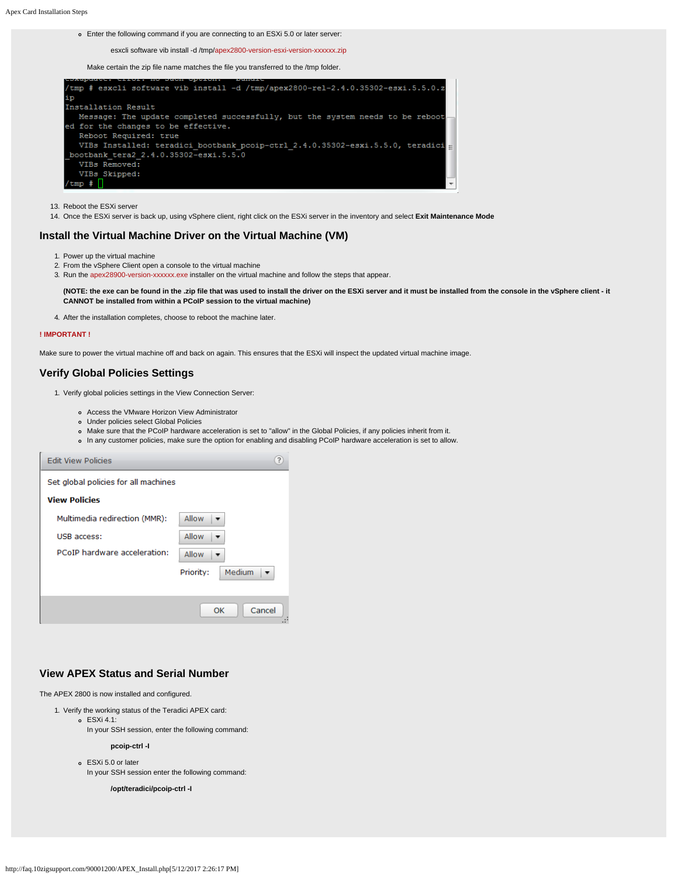Enter the following command if you are connecting to an ESXi 5.0 or later server:

esxcli software vib install -d /tmp/apex2800-version-esxi-version-xxxxxx.zip

Make certain the zip file name matches the file you transferred to the /tmp folder.



- 13. Reboot the ESXi server
- 14. Once the ESXi server is back up, using vSphere client, right click on the ESXi server in the inventory and select **Exit Maintenance Mode**

### **Install the Virtual Machine Driver on the Virtual Machine (VM)**

- 1. Power up the virtual machine
- 2. From the vSphere Client open a console to the virtual machine
- 3. Run the apex28900-version-xxxxxx.exe installer on the virtual machine and follow the steps that appear.

**(NOTE: the exe can be found in the .zip file that was used to install the driver on the ESXi server and it must be installed from the console in the vSphere client - it CANNOT be installed from within a PCoIP session to the virtual machine)**

4. After the installation completes, choose to reboot the machine later.

#### **! IMPORTANT !**

Make sure to power the virtual machine off and back on again. This ensures that the ESXi will inspect the updated virtual machine image.

## **Verify Global Policies Settings**

1. Verify global policies settings in the View Connection Server:

Access the VMware Horizon View Administrator

- Under policies select Global Policies
- Make sure that the PCoIP hardware acceleration is set to "allow" in the Global Policies, if any policies inherit from it.
- In any customer policies, make sure the option for enabling and disabling PCoIP hardware acceleration is set to allow.

| <b>Edit View Policies</b>            |                     |  |  |  |  |
|--------------------------------------|---------------------|--|--|--|--|
| Set global policies for all machines |                     |  |  |  |  |
| <b>View Policies</b>                 |                     |  |  |  |  |
| Multimedia redirection (MMR):        | Allow               |  |  |  |  |
| USB access:                          | Allow               |  |  |  |  |
| PCoIP hardware acceleration:         | Allow               |  |  |  |  |
|                                      | Medium<br>Priority: |  |  |  |  |
|                                      |                     |  |  |  |  |
|                                      | Cancel<br>OK        |  |  |  |  |

# **View APEX Status and Serial Number**

The APEX 2800 is now installed and configured.

- 1. Verify the working status of the Teradici APEX card:
	- ESXi 4.1:
	- In your SSH session, enter the following command:

```
pcoip-ctrl -I
```
ESXi 5.0 or later In your SSH session enter the following command:

**/opt/teradici/pcoip-ctrl -I**